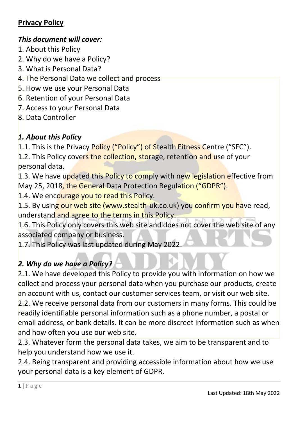### *This document will cover:*

- 1. About this Policy
- 2. Why do we have a Policy?
- 3. What is Personal Data?
- 4. The Personal Data we collect and process
- 5. How we use your Personal Data
- 6. Retention of your Personal Data
- 7. Access to your Personal Data
- 8. Data Controller

## *1. About this Policy*

1.1. This is the Privacy Policy ("Policy") of Stealth Fitness Centre ("SFC").

1.2. This Policy covers the collection, storage, retention and use of your personal data.

1.3. We have updated this Policy to comply with new legislation effective from May 25, 2018, the General Data Protection Regulation ("GDPR").

1.4. We encourage you to read this Policy.

1.5. By using our web site (www.stealth-uk.co.uk) you confirm you have read, understand and agree to the terms in this Policy.

1.6. This Policy only covers this web site and does not cover the web site of any associated company or business.

1.7. This Policy was last updated during May 2022.

# *2. Why do we have a Policy?*

2.1. We have developed this Policy to provide you with information on how we collect and process your personal data when you purchase our products, create an account with us, contact our customer services team, or visit our web site. 2.2. We receive personal data from our customers in many forms. This could be

readily identifiable personal information such as a phone number, a postal or email address, or bank details. It can be more discreet information such as when and how often you use our web site.

2.3. Whatever form the personal data takes, we aim to be transparent and to help you understand how we use it.

2.4. Being transparent and providing accessible information about how we use your personal data is a key element of GDPR.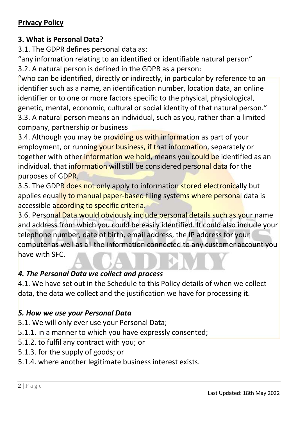#### **3. What is Personal Data?**

3.1. The GDPR defines personal data as:

"any information relating to an identified or identifiable natural person" 3.2. A natural person is defined in the GDPR as a person:

"who can be identified, directly or indirectly, in particular by reference to an identifier such as a name, an identification number, location data, an online identifier or to one or more factors specific to the physical, physiological, genetic, mental, economic, cultural or social identity of that natural person." 3.3. A natural person means an individual, such as you, rather than a limited

company, partnership or business

3.4. Although you may be providing us with information as part of your employment, or running your business, if that information, separately or together with other information we hold, means you could be identified as an individual, that information will still be considered personal data for the purposes of GDPR.

3.5. The GDPR does not only apply to information stored electronically but applies equally to manual paper-based filing systems where personal data is accessible according to specific criteria.

3.6. Personal Data would obviously include personal details such as your name and address from which you could be easily identified. It could also include your telephone number, date of birth, email address, the IP address for your computer as well as all the information connected to any customer account you have with SFC.

#### *4. The Personal Data we collect and process*

4.1. We have set out in the Schedule to this Policy details of when we collect data, the data we collect and the justification we have for processing it.

#### *5. How we use your Personal Data*

- 5.1. We will only ever use your Personal Data;
- 5.1.1. in a manner to which you have expressly consented;
- 5.1.2. to fulfil any contract with you; or
- 5.1.3. for the supply of goods; or
- 5.1.4. where another legitimate business interest exists.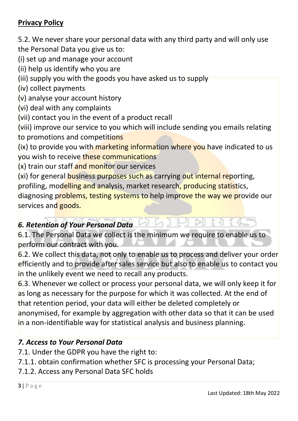5.2. We never share your personal data with any third party and will only use the Personal Data you give us to:

(i) set up and manage your account

- (ii) help us identify who you are
- (iii) supply you with the goods you have asked us to supply
- (iv) collect payments
- (v) analyse your account history
- (vi) deal with any complaints
- (vii) contact you in the event of a product recall
- (viii) improve our service to you which will include sending you emails relating to promotions and competitions

(ix) to provide you with marketing information where you have indicated to us you wish to receive these communications

- (x) train our staff and monitor our services
- (xi) for general business purposes such as carrying out internal reporting,

profiling, modelling and analysis, market research, producing statistics,

diagnosing problems, testing systems to help improve the way we provide our services and goods.

 $L$ 

### *6. Retention of Your Personal Data*

6.1. The Personal Data we collect is the minimum we require to enable us to perform our contract with you.

6.2. We collect this data, not only to enable us to process and deliver your order efficiently and to provide after sales service but also to enable us to contact you in the unlikely event we need to recall any products.

6.3. Whenever we collect or process your personal data, we will only keep it for as long as necessary for the purpose for which it was collected. At the end of that retention period, your data will either be deleted completely or anonymised, for example by aggregation with other data so that it can be used in a non-identifiable way for statistical analysis and business planning.

### *7. Access to Your Personal Data*

- 7.1. Under the GDPR you have the right to:
- 7.1.1. obtain confirmation whether SFC is processing your Personal Data;
- 7.1.2. Access any Personal Data SFC holds